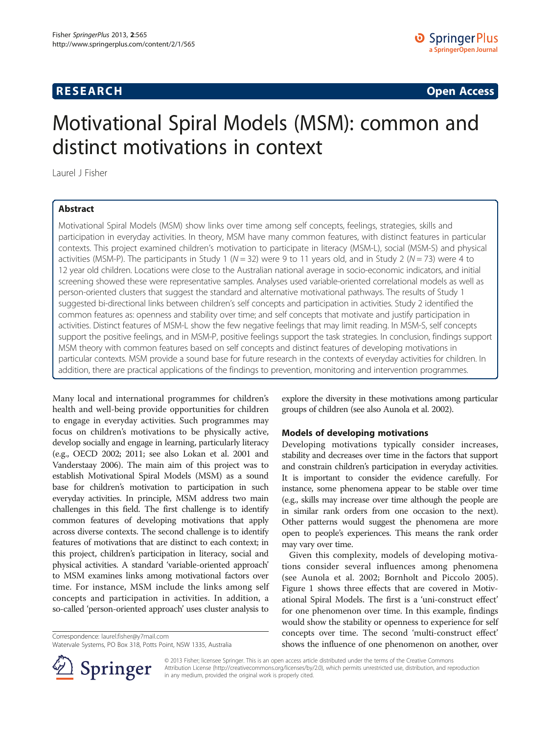# **RESEARCH CHINESE ARCH CHINESE ARCH CHINESE ARCH <b>CHINESE ARCH**

# Motivational Spiral Models (MSM): common and distinct motivations in context

Laurel J Fisher

# Abstract

Motivational Spiral Models (MSM) show links over time among self concepts, feelings, strategies, skills and participation in everyday activities. In theory, MSM have many common features, with distinct features in particular contexts. This project examined children's motivation to participate in literacy (MSM-L), social (MSM-S) and physical activities (MSM-P). The participants in Study 1 ( $N = 32$ ) were 9 to 11 years old, and in Study 2 ( $N = 73$ ) were 4 to 12 year old children. Locations were close to the Australian national average in socio-economic indicators, and initial screening showed these were representative samples. Analyses used variable-oriented correlational models as well as person-oriented clusters that suggest the standard and alternative motivational pathways. The results of Study 1 suggested bi-directional links between children's self concepts and participation in activities. Study 2 identified the common features as: openness and stability over time; and self concepts that motivate and justify participation in activities. Distinct features of MSM-L show the few negative feelings that may limit reading. In MSM-S, self concepts support the positive feelings, and in MSM-P, positive feelings support the task strategies. In conclusion, findings support MSM theory with common features based on self concepts and distinct features of developing motivations in particular contexts. MSM provide a sound base for future research in the contexts of everyday activities for children. In addition, there are practical applications of the findings to prevention, monitoring and intervention programmes.

Many local and international programmes for children's health and well-being provide opportunities for children to engage in everyday activities. Such programmes may focus on children's motivations to be physically active, develop socially and engage in learning, particularly literacy (e.g., OECD [2002](#page-13-0); [2011;](#page-13-0) see also Lokan et al. [2001](#page-13-0) and Vanderstaay [2006\)](#page-13-0). The main aim of this project was to establish Motivational Spiral Models (MSM) as a sound base for children's motivation to participation in such everyday activities. In principle, MSM address two main challenges in this field. The first challenge is to identify common features of developing motivations that apply across diverse contexts. The second challenge is to identify features of motivations that are distinct to each context; in this project, children's participation in literacy, social and physical activities. A standard 'variable-oriented approach' to MSM examines links among motivational factors over time. For instance, MSM include the links among self concepts and participation in activities. In addition, a so-called 'person-oriented approach' uses cluster analysis to

Correspondence: [laurel.fisher@y7mail.com](mailto:laurel.fisher@y7mail.com)



# Models of developing motivations

Developing motivations typically consider increases, stability and decreases over time in the factors that support and constrain children's participation in everyday activities. It is important to consider the evidence carefully. For instance, some phenomena appear to be stable over time (e.g., skills may increase over time although the people are in similar rank orders from one occasion to the next). Other patterns would suggest the phenomena are more open to people's experiences. This means the rank order may vary over time.

Given this complexity, models of developing motivations consider several influences among phenomena (see Aunola et al. [2002](#page-12-0); Bornholt and Piccolo [2005](#page-12-0)). Figure [1](#page-1-0) shows three effects that are covered in Motivational Spiral Models. The first is a 'uni-construct effect' for one phenomenon over time. In this example, findings would show the stability or openness to experience for self concepts over time. The second 'multi-construct effect' shows the influence of one phenomenon on another, over



© 2013 Fisher; licensee Springer. This is an open access article distributed under the terms of the Creative Commons Attribution License [\(http://creativecommons.org/licenses/by/2.0\)](http://creativecommons.org/licenses/by/2.0), which permits unrestricted use, distribution, and reproduction in any medium, provided the original work is properly cited.

Watervale Systems, PO Box 318, Potts Point, NSW 1335, Australia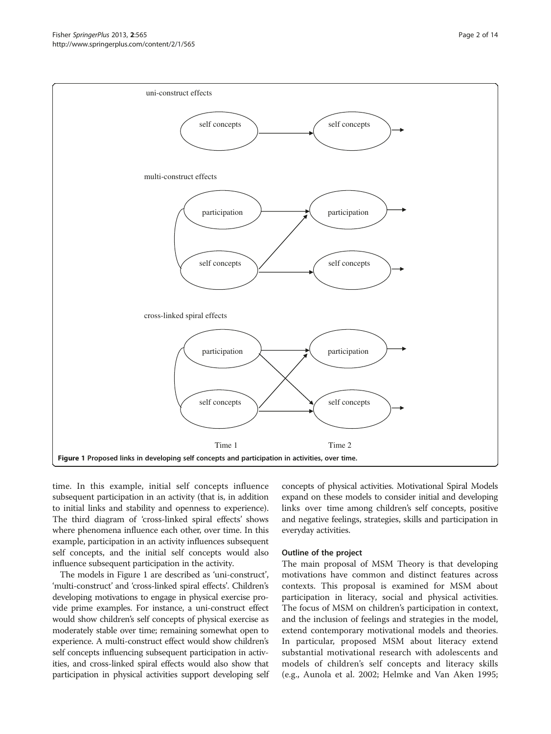<span id="page-1-0"></span>

time. In this example, initial self concepts influence subsequent participation in an activity (that is, in addition to initial links and stability and openness to experience). The third diagram of 'cross-linked spiral effects' shows where phenomena influence each other, over time. In this example, participation in an activity influences subsequent self concepts, and the initial self concepts would also influence subsequent participation in the activity.

The models in Figure 1 are described as 'uni-construct', 'multi-construct' and 'cross-linked spiral effects'. Children's developing motivations to engage in physical exercise provide prime examples. For instance, a uni-construct effect would show children's self concepts of physical exercise as moderately stable over time; remaining somewhat open to experience. A multi-construct effect would show children's self concepts influencing subsequent participation in activities, and cross-linked spiral effects would also show that participation in physical activities support developing self

concepts of physical activities. Motivational Spiral Models expand on these models to consider initial and developing links over time among children's self concepts, positive and negative feelings, strategies, skills and participation in everyday activities.

# Outline of the project

The main proposal of MSM Theory is that developing motivations have common and distinct features across contexts. This proposal is examined for MSM about participation in literacy, social and physical activities. The focus of MSM on children's participation in context, and the inclusion of feelings and strategies in the model, extend contemporary motivational models and theories. In particular, proposed MSM about literacy extend substantial motivational research with adolescents and models of children's self concepts and literacy skills (e.g., Aunola et al. [2002;](#page-12-0) Helmke and Van Aken [1995](#page-13-0);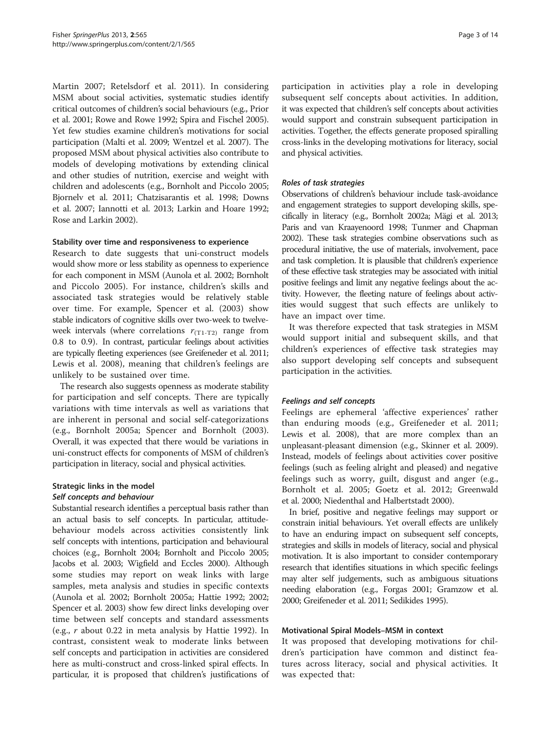Martin [2007](#page-13-0); Retelsdorf et al. [2011](#page-13-0)). In considering MSM about social activities, systematic studies identify critical outcomes of children's social behaviours (e.g., Prior et al. [2001;](#page-13-0) Rowe and Rowe [1992;](#page-13-0) Spira and Fischel [2005](#page-13-0)). Yet few studies examine children's motivations for social participation (Malti et al. [2009](#page-13-0); Wentzel et al. [2007](#page-13-0)). The proposed MSM about physical activities also contribute to models of developing motivations by extending clinical and other studies of nutrition, exercise and weight with children and adolescents (e.g., Bornholt and Piccolo [2005](#page-12-0); Bjornelv et al. [2011;](#page-12-0) Chatzisarantis et al. [1998](#page-12-0); Downs et al. [2007](#page-12-0); Iannotti et al. [2013](#page-13-0); Larkin and Hoare [1992](#page-13-0); Rose and Larkin [2002\)](#page-13-0).

# Stability over time and responsiveness to experience

Research to date suggests that uni-construct models would show more or less stability as openness to experience for each component in MSM (Aunola et al. [2002;](#page-12-0) Bornholt and Piccolo [2005\)](#page-12-0). For instance, children's skills and associated task strategies would be relatively stable over time. For example, Spencer et al. [\(2003](#page-13-0)) show stable indicators of cognitive skills over two-week to twelveweek intervals (where correlations  $r_{(T1-T2)}$  range from 0.8 to 0.9). In contrast, particular feelings about activities are typically fleeting experiences (see Greifeneder et al. [2011](#page-13-0); Lewis et al. [2008](#page-13-0)), meaning that children's feelings are unlikely to be sustained over time.

The research also suggests openness as moderate stability for participation and self concepts. There are typically variations with time intervals as well as variations that are inherent in personal and social self-categorizations (e.g., Bornholt [2005a;](#page-12-0) Spencer and Bornholt ([2003](#page-13-0)). Overall, it was expected that there would be variations in uni-construct effects for components of MSM of children's participation in literacy, social and physical activities.

# Strategic links in the model Self concepts and behaviour

Substantial research identifies a perceptual basis rather than an actual basis to self concepts. In particular, attitudebehaviour models across activities consistently link self concepts with intentions, participation and behavioural choices (e.g., Bornholt [2004;](#page-12-0) Bornholt and Piccolo [2005](#page-12-0); Jacobs et al. [2003;](#page-13-0) Wigfield and Eccles [2000](#page-13-0)). Although some studies may report on weak links with large samples, meta analysis and studies in specific contexts (Aunola et al. [2002;](#page-12-0) Bornholt [2005a;](#page-12-0) Hattie [1992; 2002](#page-13-0); Spencer et al. [2003\)](#page-13-0) show few direct links developing over time between self concepts and standard assessments (e.g., r about 0.22 in meta analysis by Hattie [1992](#page-13-0)). In contrast, consistent weak to moderate links between self concepts and participation in activities are considered here as multi-construct and cross-linked spiral effects. In particular, it is proposed that children's justifications of

participation in activities play a role in developing subsequent self concepts about activities. In addition, it was expected that children's self concepts about activities would support and constrain subsequent participation in activities. Together, the effects generate proposed spiralling cross-links in the developing motivations for literacy, social and physical activities.

# Roles of task strategies

Observations of children's behaviour include task-avoidance and engagement strategies to support developing skills, specifically in literacy (e.g., Bornholt [2002a](#page-12-0); Mägi et al. [2013](#page-13-0); Paris and van Kraayenoord [1998](#page-13-0); Tunmer and Chapman [2002](#page-13-0)). These task strategies combine observations such as procedural initiative, the use of materials, involvement, pace and task completion. It is plausible that children's experience of these effective task strategies may be associated with initial positive feelings and limit any negative feelings about the activity. However, the fleeting nature of feelings about activities would suggest that such effects are unlikely to have an impact over time.

It was therefore expected that task strategies in MSM would support initial and subsequent skills, and that children's experiences of effective task strategies may also support developing self concepts and subsequent participation in the activities.

# Feelings and self concepts

Feelings are ephemeral 'affective experiences' rather than enduring moods (e.g., Greifeneder et al. [2011](#page-13-0); Lewis et al. [2008\)](#page-13-0), that are more complex than an unpleasant-pleasant dimension (e.g., Skinner et al. [2009](#page-13-0)). Instead, models of feelings about activities cover positive feelings (such as feeling alright and pleased) and negative feelings such as worry, guilt, disgust and anger (e.g., Bornholt et al. [2005;](#page-12-0) Goetz et al. [2012;](#page-12-0) Greenwald et al. [2000](#page-12-0); Niedenthal and Halbertstadt [2000\)](#page-13-0).

In brief, positive and negative feelings may support or constrain initial behaviours. Yet overall effects are unlikely to have an enduring impact on subsequent self concepts, strategies and skills in models of literacy, social and physical motivation. It is also important to consider contemporary research that identifies situations in which specific feelings may alter self judgements, such as ambiguous situations needing elaboration (e.g., Forgas [2001;](#page-12-0) Gramzow et al. [2000;](#page-12-0) Greifeneder et al. [2011;](#page-13-0) Sedikides [1995](#page-13-0)).

# Motivational Spiral Models–MSM in context

It was proposed that developing motivations for children's participation have common and distinct features across literacy, social and physical activities. It was expected that: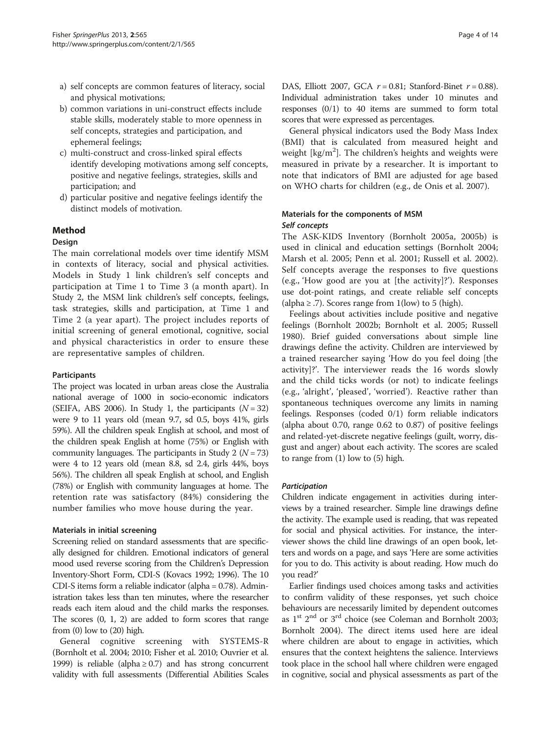- a) self concepts are common features of literacy, social and physical motivations;
- b) common variations in uni-construct effects include stable skills, moderately stable to more openness in self concepts, strategies and participation, and ephemeral feelings;
- c) multi-construct and cross-linked spiral effects identify developing motivations among self concepts, positive and negative feelings, strategies, skills and participation; and
- d) particular positive and negative feelings identify the distinct models of motivation.

# Method

# Design

The main correlational models over time identify MSM in contexts of literacy, social and physical activities. Models in Study 1 link children's self concepts and participation at Time 1 to Time 3 (a month apart). In Study 2, the MSM link children's self concepts, feelings, task strategies, skills and participation, at Time 1 and Time 2 (a year apart). The project includes reports of initial screening of general emotional, cognitive, social and physical characteristics in order to ensure these are representative samples of children.

# Participants

The project was located in urban areas close the Australia national average of 1000 in socio-economic indicators (SEIFA, ABS [2006\)](#page-12-0). In Study 1, the participants  $(N = 32)$ were 9 to 11 years old (mean 9.7, sd 0.5, boys 41%, girls 59%). All the children speak English at school, and most of the children speak English at home (75%) or English with community languages. The participants in Study 2 ( $N = 73$ ) were 4 to 12 years old (mean 8.8, sd 2.4, girls 44%, boys 56%). The children all speak English at school, and English (78%) or English with community languages at home. The retention rate was satisfactory (84%) considering the number families who move house during the year.

# Materials in initial screening

Screening relied on standard assessments that are specifically designed for children. Emotional indicators of general mood used reverse scoring from the Children's Depression Inventory-Short Form, CDI-S (Kovacs [1992](#page-13-0); [1996](#page-13-0)). The 10 CDI-S items form a reliable indicator (alpha = 0.78). Administration takes less than ten minutes, where the researcher reads each item aloud and the child marks the responses. The scores (0, 1, 2) are added to form scores that range from  $(0)$  low to  $(20)$  high.

General cognitive screening with SYSTEMS-R (Bornholt et al. [2004; 2010](#page-12-0); Fisher et al. [2010](#page-12-0); Ouvrier et al. [1999\)](#page-13-0) is reliable (alpha  $\geq$  0.7) and has strong concurrent validity with full assessments (Differential Abilities Scales DAS, Elliott [2007](#page-12-0), GCA  $r = 0.81$ ; Stanford-Binet  $r = 0.88$ ). Individual administration takes under 10 minutes and responses (0/1) to 40 items are summed to form total scores that were expressed as percentages.

General physical indicators used the Body Mass Index (BMI) that is calculated from measured height and weight [ $kg/m<sup>2</sup>$ ]. The children's heights and weights were measured in private by a researcher. It is important to note that indicators of BMI are adjusted for age based on WHO charts for children (e.g., de Onis et al. [2007\)](#page-12-0).

# Materials for the components of MSM Self concepts

The ASK-KIDS Inventory (Bornholt [2005a](#page-12-0), [2005b](#page-12-0)) is used in clinical and education settings (Bornholt [2004](#page-12-0); Marsh et al. [2005](#page-13-0); Penn et al. [2001;](#page-13-0) Russell et al. [2002](#page-13-0)). Self concepts average the responses to five questions (e.g., 'How good are you at [the activity]?'). Responses use dot-point ratings, and create reliable self concepts (alpha  $\ge$  .7). Scores range from 1(low) to 5 (high).

Feelings about activities include positive and negative feelings (Bornholt [2002b](#page-12-0); Bornholt et al. [2005](#page-12-0); Russell [1980](#page-13-0)). Brief guided conversations about simple line drawings define the activity. Children are interviewed by a trained researcher saying 'How do you feel doing [the activity]?'. The interviewer reads the 16 words slowly and the child ticks words (or not) to indicate feelings (e.g., 'alright', 'pleased', 'worried'). Reactive rather than spontaneous techniques overcome any limits in naming feelings. Responses (coded 0/1) form reliable indicators (alpha about 0.70, range 0.62 to 0.87) of positive feelings and related-yet-discrete negative feelings (guilt, worry, disgust and anger) about each activity. The scores are scaled to range from (1) low to (5) high.

# Participation

Children indicate engagement in activities during interviews by a trained researcher. Simple line drawings define the activity. The example used is reading, that was repeated for social and physical activities. For instance, the interviewer shows the child line drawings of an open book, letters and words on a page, and says 'Here are some activities for you to do. This activity is about reading. How much do you read?'

Earlier findings used choices among tasks and activities to confirm validity of these responses, yet such choice behaviours are necessarily limited by dependent outcomes as  $1^{st}$   $2^{nd}$  or  $3^{rd}$  choice (see Coleman and Bornholt [2003](#page-12-0); Bornholt [2004](#page-12-0)). The direct items used here are ideal where children are about to engage in activities, which ensures that the context heightens the salience. Interviews took place in the school hall where children were engaged in cognitive, social and physical assessments as part of the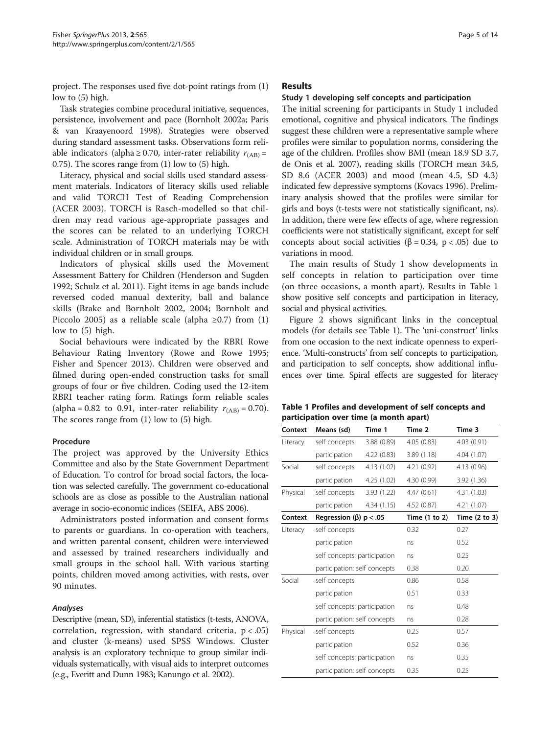project. The responses used five dot-point ratings from (1) low to (5) high.

Task strategies combine procedural initiative, sequences, persistence, involvement and pace (Bornholt [2002a](#page-12-0); Paris & van Kraayenoord [1998](#page-13-0)). Strategies were observed during standard assessment tasks. Observations form reliable indicators (alpha  $\geq$  0.70, inter-rater reliability  $r_{(AB)} =$ 0.75). The scores range from (1) low to (5) high.

Literacy, physical and social skills used standard assessment materials. Indicators of literacy skills used reliable and valid TORCH Test of Reading Comprehension (ACER [2003](#page-12-0)). TORCH is Rasch-modelled so that children may read various age-appropriate passages and the scores can be related to an underlying TORCH scale. Administration of TORCH materials may be with individual children or in small groups.

Indicators of physical skills used the Movement Assessment Battery for Children (Henderson and Sugden [1992;](#page-13-0) Schulz et al. [2011\)](#page-13-0). Eight items in age bands include reversed coded manual dexterity, ball and balance skills (Brake and Bornholt [2002, 2004](#page-12-0); Bornholt and Piccolo [2005](#page-12-0)) as a reliable scale (alpha  $\geq 0.7$ ) from (1) low to (5) high.

Social behaviours were indicated by the RBRI Rowe Behaviour Rating Inventory (Rowe and Rowe [1995](#page-13-0); Fisher and Spencer [2013\)](#page-12-0). Children were observed and filmed during open-ended construction tasks for small groups of four or five children. Coding used the 12-item RBRI teacher rating form. Ratings form reliable scales (alpha = 0.82 to 0.91, inter-rater reliability  $r_{(AB)} = 0.70$ ). The scores range from (1) low to (5) high.

# Procedure

The project was approved by the University Ethics Committee and also by the State Government Department of Education. To control for broad social factors, the location was selected carefully. The government co-educational schools are as close as possible to the Australian national average in socio-economic indices (SEIFA, ABS [2006\)](#page-12-0).

Administrators posted information and consent forms to parents or guardians. In co-operation with teachers, and written parental consent, children were interviewed and assessed by trained researchers individually and small groups in the school hall. With various starting points, children moved among activities, with rests, over 90 minutes.

# Analyses

Descriptive (mean, SD), inferential statistics (t-tests, ANOVA, correlation, regression, with standard criteria,  $p < .05$ ) and cluster (k-means) used SPSS Windows. Cluster analysis is an exploratory technique to group similar individuals systematically, with visual aids to interpret outcomes (e.g., Everitt and Dunn [1983;](#page-12-0) Kanungo et al. [2002](#page-13-0)).

# Results

# Study 1 developing self concepts and participation

The initial screening for participants in Study 1 included emotional, cognitive and physical indicators. The findings suggest these children were a representative sample where profiles were similar to population norms, considering the age of the children. Profiles show BMI (mean 18.9 SD 3.7, de Onis et al. [2007](#page-12-0)), reading skills (TORCH mean 34.5, SD 8.6 (ACER [2003\)](#page-12-0) and mood (mean 4.5, SD 4.3) indicated few depressive symptoms (Kovacs [1996\)](#page-13-0). Preliminary analysis showed that the profiles were similar for girls and boys (t-tests were not statistically significant, ns). In addition, there were few effects of age, where regression coefficients were not statistically significant, except for self concepts about social activities ( $β = 0.34$ ,  $p < .05$ ) due to variations in mood.

The main results of Study 1 show developments in self concepts in relation to participation over time (on three occasions, a month apart). Results in Table 1 show positive self concepts and participation in literacy, social and physical activities.

Figure [2](#page-5-0) shows significant links in the conceptual models (for details see Table 1). The 'uni-construct' links from one occasion to the next indicate openness to experience. 'Multi-constructs' from self concepts to participation, and participation to self concepts, show additional influences over time. Spiral effects are suggested for literacy

| Table 1 Profiles and development of self concepts and |  |  |  |
|-------------------------------------------------------|--|--|--|
| participation over time (a month apart)               |  |  |  |

| Context  | Means (sd)                     | Time 1     | Time 2          | Time 3        |
|----------|--------------------------------|------------|-----------------|---------------|
| Literacy | self concepts                  | 3.88(0.89) | 4.05(0.83)      | 4.03 (0.91)   |
|          | participation                  | 4.22(0.83) | 3.89(1.18)      | 4.04 (1.07)   |
| Social   | self concepts                  | 4.13(1.02) | 4.21 (0.92)     | 4.13 (0.96)   |
|          | participation                  | 4.25(1.02) | 4.30 (0.99)     | 3.92 (1.36)   |
| Physical | self concepts                  | 3.93(1.22) | 4.47(0.61)      | 4.31 (1.03)   |
|          | participation                  | 4.34(1.15) | 4.52(0.87)      | 4.21 (1.07)   |
| Context  | Regression ( $\beta$ ) p < .05 |            | Time $(1 to 2)$ | Time (2 to 3) |
| Literacy | self concepts                  |            | 0.32            | 0.27          |
|          | participation                  |            | ns              | 0.52          |
|          | self concepts: participation   |            | ns              | 0.25          |
|          | participation: self concepts   |            | 0.38            | 0.20          |
| Social   | self concepts                  |            | 0.86            | 0.58          |
|          | participation                  |            | 0.51            | 0.33          |
|          | self concepts: participation   |            | ns              | 0.48          |
|          | participation: self concepts   |            | ns              | 0.28          |
| Physical | self concepts                  |            | 0.25            | 0.57          |
|          | participation                  |            | 0.52            | 0.36          |
|          | self concepts: participation   |            | ns              | 0.35          |
|          | participation: self concepts   |            | 0.35            | 0.25          |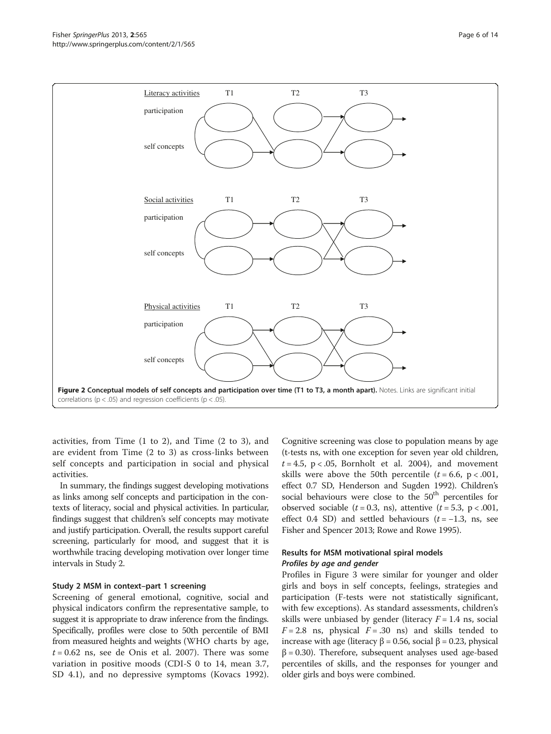# <span id="page-5-0"></span>Fisher SpringerPlus 2013, <sup>2</sup>:565 Page 6 of 14 http://www.springerplus.com/content/2/1/565



activities, from Time (1 to 2), and Time (2 to 3), and are evident from Time (2 to 3) as cross-links between self concepts and participation in social and physical activities.

In summary, the findings suggest developing motivations as links among self concepts and participation in the contexts of literacy, social and physical activities. In particular, findings suggest that children's self concepts may motivate and justify participation. Overall, the results support careful screening, particularly for mood, and suggest that it is worthwhile tracing developing motivation over longer time intervals in Study 2.

# Study 2 MSM in context–part 1 screening

Screening of general emotional, cognitive, social and physical indicators confirm the representative sample, to suggest it is appropriate to draw inference from the findings. Specifically, profiles were close to 50th percentile of BMI from measured heights and weights (WHO charts by age,  $t = 0.62$  ns, see de Onis et al. [2007\)](#page-12-0). There was some variation in positive moods (CDI-S 0 to 14, mean 3.7, SD 4.1), and no depressive symptoms (Kovacs [1992](#page-13-0)).

Cognitive screening was close to population means by age (t-tests ns, with one exception for seven year old children,  $t = 4.5$ , p < .05, Bornholt et al. [2004](#page-12-0)), and movement skills were above the 50th percentile  $(t = 6.6, p < .001,$ effect 0.7 SD, Henderson and Sugden [1992\)](#page-13-0). Children's social behaviours were close to the  $50<sup>th</sup>$  percentiles for observed sociable ( $t = 0.3$ , ns), attentive ( $t = 5.3$ , p < .001, effect 0.4 SD) and settled behaviours  $(t = -1.3, \text{ns}, \text{see})$ Fisher and Spencer [2013;](#page-12-0) Rowe and Rowe [1995\)](#page-13-0).

# Results for MSM motivational spiral models Profiles by age and gender

Profiles in Figure [3](#page-6-0) were similar for younger and older girls and boys in self concepts, feelings, strategies and participation (F-tests were not statistically significant, with few exceptions). As standard assessments, children's skills were unbiased by gender (literacy  $F = 1.4$  ns, social  $F = 2.8$  ns, physical  $F = .30$  ns) and skills tended to increase with age (literacy β = 0.56, social β = 0.23, physical  $\beta$  = 0.30). Therefore, subsequent analyses used age-based percentiles of skills, and the responses for younger and older girls and boys were combined.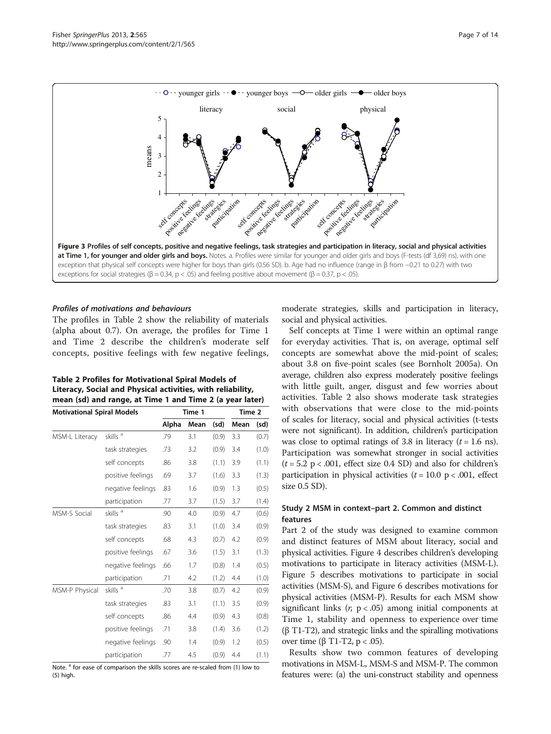<span id="page-6-0"></span>

# Profiles of motivations and behaviours

The profiles in Table 2 show the reliability of materials (alpha about 0.7). On average, the profiles for Time 1 and Time 2 describe the children's moderate self concepts, positive feelings with few negative feelings,

| <b>Table 2 Profiles for Motivational Spiral Models of</b>   |
|-------------------------------------------------------------|
| Literacy, Social and Physical activities, with reliability, |
| mean (sd) and range, at Time 1 and Time 2 (a year later)    |

| <b>Motivational Spiral Models</b> |                     | Time 1 |      |       | Time 2 |       |
|-----------------------------------|---------------------|--------|------|-------|--------|-------|
|                                   |                     | Alpha  | Mean | (sd)  | Mean   | (sd)  |
| MSM-L Literacy                    | skills <sup>a</sup> | .79    | 3.1  | (0.9) | 3.3    | (0.7) |
|                                   | task strategies     | .73    | 3.2  | (0.9) | 3.4    | (1.0) |
|                                   | self concepts       | .86    | 3.8  | (1.1) | 3.9    | (1.1) |
|                                   | positive feelings   | .69    | 3.7  | (1.6) | 3.3    | (1.3) |
|                                   | negative feelings   | .83    | 1.6  | (0.9) | 1.3    | (0.5) |
|                                   | participation       | .77    | 3.7  | (1.5) | 3.7    | (1.4) |
| <b>MSM-S Social</b>               | skills <sup>a</sup> | .90    | 4.0  | (0.9) | 4.7    | (0.6) |
|                                   | task strategies     | .83    | 3.1  | (1.0) | 3.4    | (0.9) |
|                                   | self concepts       | .68    | 4.3  | (0.7) | 4.2    | (0.9) |
|                                   | positive feelings   | .67    | 3.6  | (1.5) | 3.1    | (1.3) |
|                                   | negative feelings   | .66    | 1.7  | (0.8) | 1.4    | (0.5) |
|                                   | participation       | .71    | 4.2  | (1.2) | 4.4    | (1.0) |
| MSM-P Physical                    | skills <sup>a</sup> | .70    | 3.8  | (0.7) | 4.2    | (0.9) |
|                                   | task strategies     | .83    | 3.1  | (1.1) | 3.5    | (0.9) |
|                                   | self concepts       | .86    | 4.4  | (0.9) | 4.3    | (0.8) |
|                                   | positive feelings   | .71    | 3.8  | (1.4) | 3.6    | (1.2) |
|                                   | negative feelings   | .90    | 1.4  | (0.9) | 1.2    | (0.5) |
|                                   | participation       | .77    | 4.5  | (0.9) | 4.4    | (1.1) |

Note.<sup>a</sup> for ease of comparison the skills scores are re-scaled from (1) low to (5) high.

moderate strategies, skills and participation in literacy, social and physical activities.

Self concepts at Time 1 were within an optimal range for everyday activities. That is, on average, optimal self concepts are somewhat above the mid-point of scales; about 3.8 on five-point scales (see Bornholt [2005a](#page-12-0)). On average, children also express moderately positive feelings with little guilt, anger, disgust and few worries about activities. Table 2 also shows moderate task strategies with observations that were close to the mid-points of scales for literacy, social and physical activities (t-tests were not significant). In addition, children's participation was close to optimal ratings of 3.8 in literacy  $(t = 1.6 \text{ ns})$ . Participation was somewhat stronger in social activities  $(t = 5.2 \text{ p} < .001, \text{ effect size } 0.4 \text{ SD})$  and also for children's participation in physical activities  $(t = 10.0 \text{ p} < .001, \text{ effect}$ size 0.5 SD).

# Study 2 MSM in context–part 2. Common and distinct features

Part 2 of the study was designed to examine common and distinct features of MSM about literacy, social and physical activities. Figure [4](#page-7-0) describes children's developing motivations to participate in literacy activities (MSM-L). Figure [5](#page-8-0) describes motivations to participate in social activities (MSM-S), and Figure [6](#page-9-0) describes motivations for physical activities (MSM-P). Results for each MSM show significant links  $(r, p < .05)$  among initial components at Time 1, stability and openness to experience over time (β T1-T2), and strategic links and the spiralling motivations over time (β T1-T2,  $p < .05$ ).

Results show two common features of developing motivations in MSM-L, MSM-S and MSM-P. The common features were: (a) the uni-construct stability and openness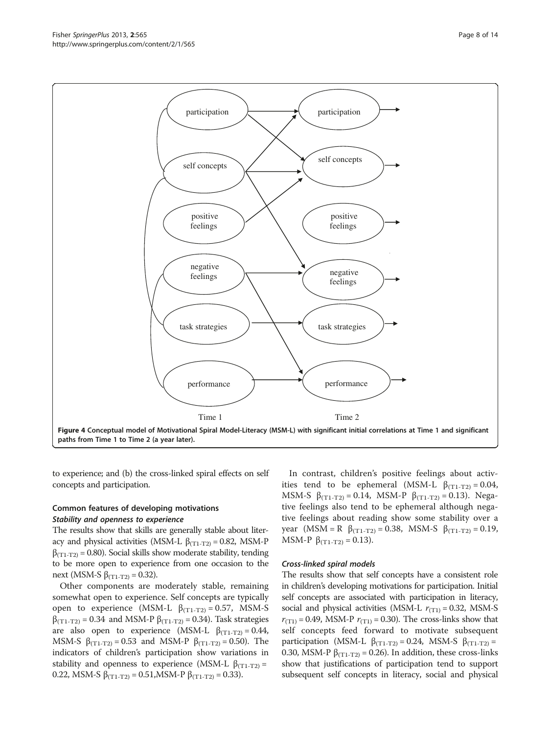to experience; and (b) the cross-linked spiral effects on self concepts and participation.

# Common features of developing motivations Stability and openness to experience

The results show that skills are generally stable about literacy and physical activities (MSM-L  $β_{(T1-T2)} = 0.82$ , MSM-P  $\beta$ <sub>(T1-T2)</sub> = 0.80). Social skills show moderate stability, tending to be more open to experience from one occasion to the next (MSM-S β<sub>(T1-T2)</sub> = 0.32).

Other components are moderately stable, remaining somewhat open to experience. Self concepts are typically open to experience (MSM-L  $β_{(T1-T2)} = 0.57$ , MSM-S  $β$ <sub>(T1-T2)</sub> = 0.34 and MSM-P  $β$ <sub>(T1-T2)</sub> = 0.34). Task strategies are also open to experience (MSM-L  $\beta_{(T1-T2)} = 0.44$ , MSM-S  $\beta_{(T1-T2)} = 0.53$  and MSM-P  $\beta_{(T1-T2)} = 0.50$ . The indicators of children's participation show variations in stability and openness to experience (MSM-L  $\beta_{(T_1-T_2)}$  = 0.22, MSM-S  $β_{(T1-T2)} = 0.51$ , MSM-P  $β_{(T1-T2)} = 0.33$ ).

In contrast, children's positive feelings about activities tend to be ephemeral (MSM-L  $\beta$ <sub>(T1-T2)</sub> = 0.04, MSM-S  $\beta_{(T_1-T_2)} = 0.14$ , MSM-P  $\beta_{(T_1-T_2)} = 0.13$ ). Negative feelings also tend to be ephemeral although negative feelings about reading show some stability over a year (MSM = R  $β_{(T1-T2)} = 0.38$ , MSM-S  $β_{(T1-T2)} = 0.19$ , MSM-P  $\beta_{(T1-T2)} = 0.13$ ).

# Cross-linked spiral models

The results show that self concepts have a consistent role in children's developing motivations for participation. Initial self concepts are associated with participation in literacy, social and physical activities (MSM-L  $r_{(T1)} = 0.32$ , MSM-S  $r_{(T1)} = 0.49$ , MSM-P  $r_{(T1)} = 0.30$ ). The cross-links show that self concepts feed forward to motivate subsequent participation (MSM-L β<sub>(T1-T2)</sub> = 0.24, MSM-S β<sub>(T1-T2)</sub> = 0.30, MSM-P  $\beta_{(T_1-T_2)} = 0.26$ ). In addition, these cross-links show that justifications of participation tend to support subsequent self concepts in literacy, social and physical

<span id="page-7-0"></span>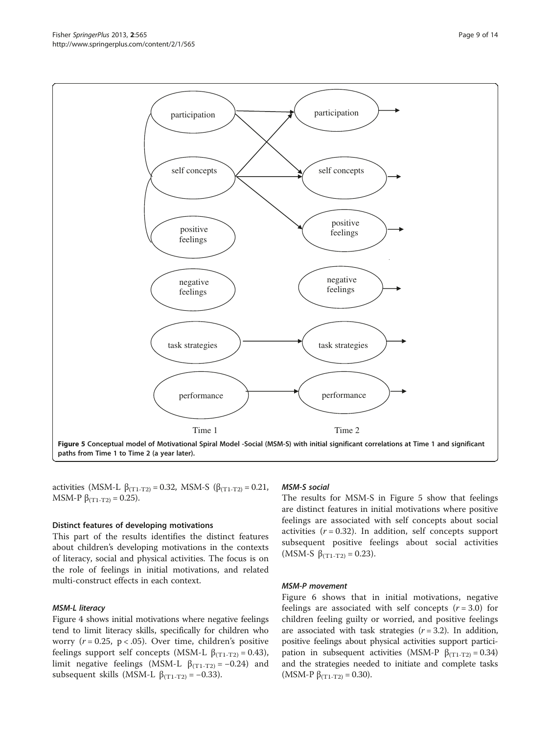activities (MSM-L β<sub>(T1-T2)</sub> = 0.32, MSM-S (β<sub>(T1-T2)</sub> = 0.21, MSM-P  $\beta_{(T1-T2)} = 0.25$ ).

#### Distinct features of developing motivations

This part of the results identifies the distinct features about children's developing motivations in the contexts of literacy, social and physical activities. The focus is on the role of feelings in initial motivations, and related multi-construct effects in each context.

# MSM-L literacy

Figure [4](#page-7-0) shows initial motivations where negative feelings tend to limit literacy skills, specifically for children who worry ( $r = 0.25$ ,  $p < .05$ ). Over time, children's positive feelings support self concepts (MSM-L  $β_{(T1-T2)} = 0.43$ ), limit negative feelings (MSM-L  $β_{(T1-T2)} = -0.24$ ) and subsequent skills (MSM-L  $\beta_{(T1-T2)} = -0.33$ ).

#### MSM-S social

The results for MSM-S in Figure 5 show that feelings are distinct features in initial motivations where positive feelings are associated with self concepts about social activities  $(r = 0.32)$ . In addition, self concepts support subsequent positive feelings about social activities (MSM-S  $\beta_{(T1-T2)} = 0.23$ ).

#### MSM-P movement

Figure [6](#page-9-0) shows that in initial motivations, negative feelings are associated with self concepts  $(r = 3.0)$  for children feeling guilty or worried, and positive feelings are associated with task strategies  $(r = 3.2)$ . In addition, positive feelings about physical activities support participation in subsequent activities (MSM-P  $β_{(T1-T2)} = 0.34$ ) and the strategies needed to initiate and complete tasks (MSM-P  $\beta_{(T1-T2)} = 0.30$ ).

<span id="page-8-0"></span>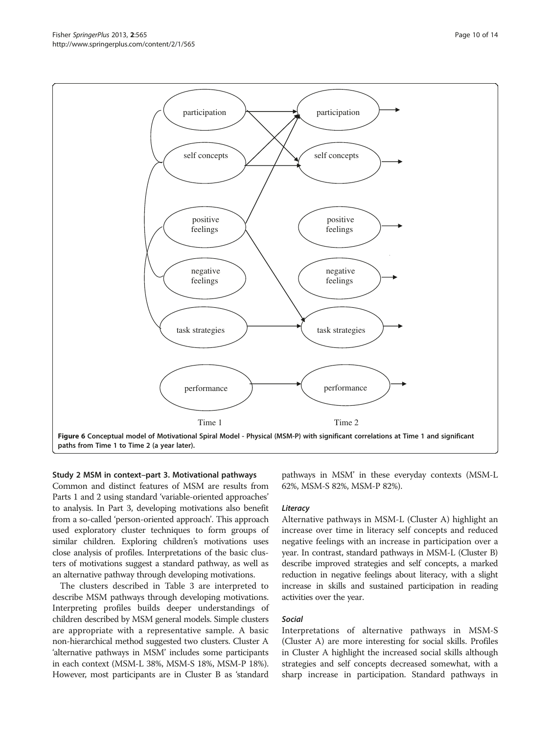Study 2 MSM in context–part 3. Motivational pathways Common and distinct features of MSM are results from Parts 1 and 2 using standard 'variable-oriented approaches' to analysis. In Part 3, developing motivations also benefit from a so-called 'person-oriented approach'. This approach used exploratory cluster techniques to form groups of similar children. Exploring children's motivations uses close analysis of profiles. Interpretations of the basic clusters of motivations suggest a standard pathway, as well as an alternative pathway through developing motivations.

The clusters described in Table [3](#page-10-0) are interpreted to describe MSM pathways through developing motivations. Interpreting profiles builds deeper understandings of children described by MSM general models. Simple clusters are appropriate with a representative sample. A basic non-hierarchical method suggested two clusters. Cluster A 'alternative pathways in MSM' includes some participants in each context (MSM-L 38%, MSM-S 18%, MSM-P 18%). However, most participants are in Cluster B as 'standard

pathways in MSM' in these everyday contexts (MSM-L 62%, MSM-S 82%, MSM-P 82%).

#### Literacy

Alternative pathways in MSM-L (Cluster A) highlight an increase over time in literacy self concepts and reduced negative feelings with an increase in participation over a year. In contrast, standard pathways in MSM-L (Cluster B) describe improved strategies and self concepts, a marked reduction in negative feelings about literacy, with a slight increase in skills and sustained participation in reading activities over the year.

#### Social

Interpretations of alternative pathways in MSM-S (Cluster A) are more interesting for social skills. Profiles in Cluster A highlight the increased social skills although strategies and self concepts decreased somewhat, with a sharp increase in participation. Standard pathways in

<span id="page-9-0"></span>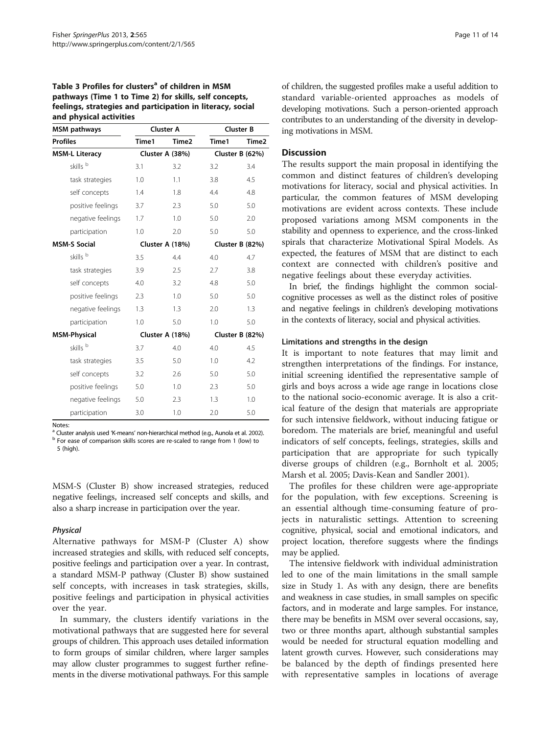# <span id="page-10-0"></span>Table 3 Profiles for clusters<sup>a</sup> of children in MSM pathways (Time 1 to Time 2) for skills, self concepts, feelings, strategies and participation in literacy, social and physical activities

| <b>MSM</b> pathways   | <b>Cluster A</b> |                   | <b>Cluster B</b> |                 |  |
|-----------------------|------------------|-------------------|------------------|-----------------|--|
| <b>Profiles</b>       | Time1            | Time <sub>2</sub> | Time1            | Time2           |  |
| <b>MSM-L Literacy</b> | Cluster A (38%)  |                   | Cluster B (62%)  |                 |  |
| skills <sup>b</sup>   | 3.1              | 3.2               | 3.2              | 3.4             |  |
| task strategies       | 1.0              | 1.1               | 3.8              | 4.5             |  |
| self concepts         | 1.4              | 1.8               | 4.4              | 4.8             |  |
| positive feelings     | 3.7              | 2.3               | 5.0              | 5.0             |  |
| negative feelings     | 1.7              | 1.0               | 5.0              | 2.0             |  |
| participation         | 1.0              | 2.0               | 5.0              | 5.0             |  |
| <b>MSM-S Social</b>   |                  | Cluster A (18%)   |                  | Cluster B (82%) |  |
| skills <sup>b</sup>   | 3.5              | 4.4               | 4.0              | 4.7             |  |
| task strategies       | 3.9              | 2.5               | 2.7              | 3.8             |  |
| self concepts         | 4.0              | 3.2               | 4.8              | 5.0             |  |
| positive feelings     | 2.3              | 1.0               | 5.0              | 5.0             |  |
| negative feelings     | 1.3              | 1.3               | 2.0              | 1.3             |  |
| participation         | 1.0              | 5.0               | 1.0              | 5.0             |  |
| <b>MSM-Physical</b>   |                  | Cluster A (18%)   |                  | Cluster B (82%) |  |
| skills <sup>b</sup>   | 3.7              | 4.0               | 4.0              | 4.5             |  |
| task strategies       | 3.5              | 5.0               | 1.0              | 4.2             |  |
| self concepts         | 3.2              | 2.6               | 5.0              | 5.0             |  |
| positive feelings     | 5.0              | 1.0               | 2.3              | 5.0             |  |
| negative feelings     | 5.0              | 2.3               | 1.3              | 1.0             |  |
| participation         | 3.0              | 1.0               | 2.0              | 5.0             |  |

Notes:<br><sup>a</sup> Cluster analysis used 'K-means' non-hierarchical method (e.g., Aunola et al. 2002).  $b$  For ease of comparison skills scores are re-scaled to range from 1 (low) to 5 (high).

MSM-S (Cluster B) show increased strategies, reduced negative feelings, increased self concepts and skills, and also a sharp increase in participation over the year.

# Physical

Alternative pathways for MSM-P (Cluster A) show increased strategies and skills, with reduced self concepts, positive feelings and participation over a year. In contrast, a standard MSM-P pathway (Cluster B) show sustained self concepts, with increases in task strategies, skills, positive feelings and participation in physical activities over the year.

In summary, the clusters identify variations in the motivational pathways that are suggested here for several groups of children. This approach uses detailed information to form groups of similar children, where larger samples may allow cluster programmes to suggest further refinements in the diverse motivational pathways. For this sample of children, the suggested profiles make a useful addition to standard variable-oriented approaches as models of developing motivations. Such a person-oriented approach contributes to an understanding of the diversity in developing motivations in MSM.

# **Discussion**

The results support the main proposal in identifying the common and distinct features of children's developing motivations for literacy, social and physical activities. In particular, the common features of MSM developing motivations are evident across contexts. These include proposed variations among MSM components in the stability and openness to experience, and the cross-linked spirals that characterize Motivational Spiral Models. As expected, the features of MSM that are distinct to each context are connected with children's positive and negative feelings about these everyday activities.

In brief, the findings highlight the common socialcognitive processes as well as the distinct roles of positive and negative feelings in children's developing motivations in the contexts of literacy, social and physical activities.

# Limitations and strengths in the design

It is important to note features that may limit and strengthen interpretations of the findings. For instance, initial screening identified the representative sample of girls and boys across a wide age range in locations close to the national socio-economic average. It is also a critical feature of the design that materials are appropriate for such intensive fieldwork, without inducing fatigue or boredom. The materials are brief, meaningful and useful indicators of self concepts, feelings, strategies, skills and participation that are appropriate for such typically diverse groups of children (e.g., Bornholt et al. [2005](#page-12-0); Marsh et al. [2005](#page-13-0); Davis-Kean and Sandler [2001](#page-12-0)).

The profiles for these children were age-appropriate for the population, with few exceptions. Screening is an essential although time-consuming feature of projects in naturalistic settings. Attention to screening cognitive, physical, social and emotional indicators, and project location, therefore suggests where the findings may be applied.

The intensive fieldwork with individual administration led to one of the main limitations in the small sample size in Study 1. As with any design, there are benefits and weakness in case studies, in small samples on specific factors, and in moderate and large samples. For instance, there may be benefits in MSM over several occasions, say, two or three months apart, although substantial samples would be needed for structural equation modelling and latent growth curves. However, such considerations may be balanced by the depth of findings presented here with representative samples in locations of average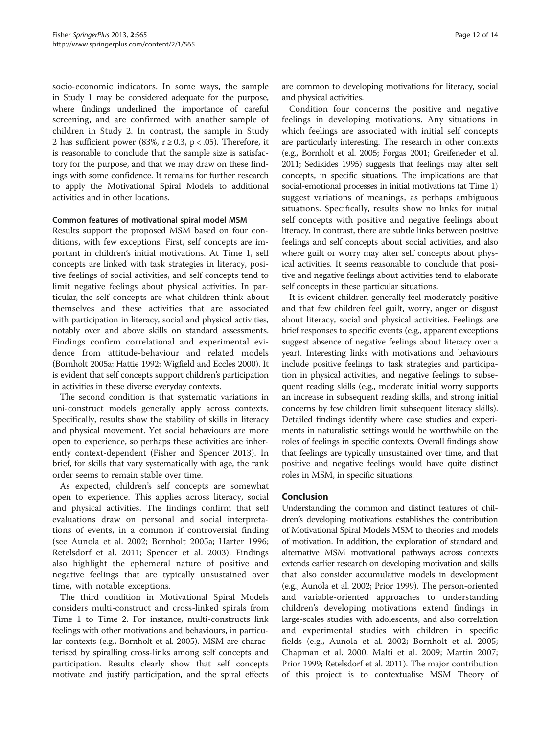socio-economic indicators. In some ways, the sample in Study 1 may be considered adequate for the purpose, where findings underlined the importance of careful screening, and are confirmed with another sample of children in Study 2. In contrast, the sample in Study 2 has sufficient power (83%,  $r \ge 0.3$ ,  $p < .05$ ). Therefore, it is reasonable to conclude that the sample size is satisfactory for the purpose, and that we may draw on these findings with some confidence. It remains for further research to apply the Motivational Spiral Models to additional activities and in other locations.

# Common features of motivational spiral model MSM

Results support the proposed MSM based on four conditions, with few exceptions. First, self concepts are important in children's initial motivations. At Time 1, self concepts are linked with task strategies in literacy, positive feelings of social activities, and self concepts tend to limit negative feelings about physical activities. In particular, the self concepts are what children think about themselves and these activities that are associated with participation in literacy, social and physical activities, notably over and above skills on standard assessments. Findings confirm correlational and experimental evidence from attitude-behaviour and related models (Bornholt [2005a;](#page-12-0) Hattie [1992;](#page-13-0) Wigfield and Eccles [2000](#page-13-0)). It is evident that self concepts support children's participation in activities in these diverse everyday contexts.

The second condition is that systematic variations in uni-construct models generally apply across contexts. Specifically, results show the stability of skills in literacy and physical movement. Yet social behaviours are more open to experience, so perhaps these activities are inherently context-dependent (Fisher and Spencer [2013\)](#page-12-0). In brief, for skills that vary systematically with age, the rank order seems to remain stable over time.

As expected, children's self concepts are somewhat open to experience. This applies across literacy, social and physical activities. The findings confirm that self evaluations draw on personal and social interpretations of events, in a common if controversial finding (see Aunola et al. [2002;](#page-12-0) Bornholt [2005a;](#page-12-0) Harter [1996](#page-13-0); Retelsdorf et al. [2011](#page-13-0); Spencer et al. [2003\)](#page-13-0). Findings also highlight the ephemeral nature of positive and negative feelings that are typically unsustained over time, with notable exceptions.

The third condition in Motivational Spiral Models considers multi-construct and cross-linked spirals from Time 1 to Time 2. For instance, multi-constructs link feelings with other motivations and behaviours, in particular contexts (e.g., Bornholt et al. [2005](#page-12-0)). MSM are characterised by spiralling cross-links among self concepts and participation. Results clearly show that self concepts motivate and justify participation, and the spiral effects

are common to developing motivations for literacy, social and physical activities.

Condition four concerns the positive and negative feelings in developing motivations. Any situations in which feelings are associated with initial self concepts are particularly interesting. The research in other contexts (e.g., Bornholt et al. [2005;](#page-12-0) Forgas [2001](#page-12-0); Greifeneder et al. [2011;](#page-13-0) Sedikides [1995\)](#page-13-0) suggests that feelings may alter self concepts, in specific situations. The implications are that social-emotional processes in initial motivations (at Time 1) suggest variations of meanings, as perhaps ambiguous situations. Specifically, results show no links for initial self concepts with positive and negative feelings about literacy. In contrast, there are subtle links between positive feelings and self concepts about social activities, and also where guilt or worry may alter self concepts about physical activities. It seems reasonable to conclude that positive and negative feelings about activities tend to elaborate self concepts in these particular situations.

It is evident children generally feel moderately positive and that few children feel guilt, worry, anger or disgust about literacy, social and physical activities. Feelings are brief responses to specific events (e.g., apparent exceptions suggest absence of negative feelings about literacy over a year). Interesting links with motivations and behaviours include positive feelings to task strategies and participation in physical activities, and negative feelings to subsequent reading skills (e.g., moderate initial worry supports an increase in subsequent reading skills, and strong initial concerns by few children limit subsequent literacy skills). Detailed findings identify where case studies and experiments in naturalistic settings would be worthwhile on the roles of feelings in specific contexts. Overall findings show that feelings are typically unsustained over time, and that positive and negative feelings would have quite distinct roles in MSM, in specific situations.

# Conclusion

Understanding the common and distinct features of children's developing motivations establishes the contribution of Motivational Spiral Models MSM to theories and models of motivation. In addition, the exploration of standard and alternative MSM motivational pathways across contexts extends earlier research on developing motivation and skills that also consider accumulative models in development (e.g., Aunola et al. [2002;](#page-12-0) Prior [1999\)](#page-13-0). The person-oriented and variable-oriented approaches to understanding children's developing motivations extend findings in large-scales studies with adolescents, and also correlation and experimental studies with children in specific fields (e.g., Aunola et al. [2002](#page-12-0); Bornholt et al. [2005](#page-12-0); Chapman et al. [2000;](#page-12-0) Malti et al. [2009](#page-13-0); Martin [2007](#page-13-0); Prior [1999;](#page-13-0) Retelsdorf et al. [2011\)](#page-13-0). The major contribution of this project is to contextualise MSM Theory of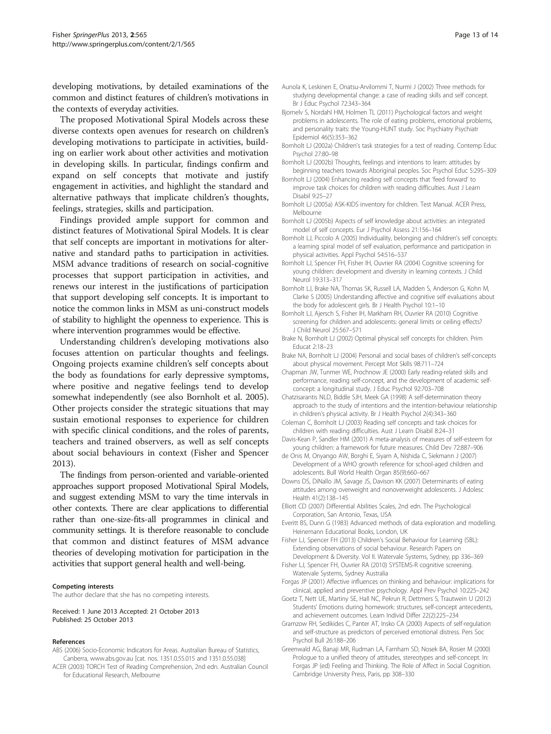<span id="page-12-0"></span>developing motivations, by detailed examinations of the common and distinct features of children's motivations in the contexts of everyday activities.

The proposed Motivational Spiral Models across these diverse contexts open avenues for research on children's developing motivations to participate in activities, building on earlier work about other activities and motivation in developing skills. In particular, findings confirm and expand on self concepts that motivate and justify engagement in activities, and highlight the standard and alternative pathways that implicate children's thoughts, feelings, strategies, skills and participation.

Findings provided ample support for common and distinct features of Motivational Spiral Models. It is clear that self concepts are important in motivations for alternative and standard paths to participation in activities. MSM advance traditions of research on social-cognitive processes that support participation in activities, and renews our interest in the justifications of participation that support developing self concepts. It is important to notice the common links in MSM as uni-construct models of stability to highlight the openness to experience. This is where intervention programmes would be effective.

Understanding children's developing motivations also focuses attention on particular thoughts and feelings. Ongoing projects examine children's self concepts about the body as foundations for early depressive symptoms, where positive and negative feelings tend to develop somewhat independently (see also Bornholt et al. 2005). Other projects consider the strategic situations that may sustain emotional responses to experience for children with specific clinical conditions, and the roles of parents, teachers and trained observers, as well as self concepts about social behaviours in context (Fisher and Spencer 2013).

The findings from person-oriented and variable-oriented approaches support proposed Motivational Spiral Models, and suggest extending MSM to vary the time intervals in other contexts. There are clear applications to differential rather than one-size-fits-all programmes in clinical and community settings. It is therefore reasonable to conclude that common and distinct features of MSM advance theories of developing motivation for participation in the activities that support general health and well-being.

#### Competing interests

The author declare that she has no competing interests.

Received: 1 June 2013 Accepted: 21 October 2013 Published: 25 October 2013

#### References

- ABS (2006) Socio-Economic Indicators for Areas. Australian Bureau of Statistics, Canberra, [www.abs.gov.au](http://www.abs.gov.au) [cat. nos. 1351.0.55.015 and 1351.0.55.038]
- ACER (2003) TORCH Test of Reading Comprehension, 2nd edn. Australian Council for Educational Research, Melbourne
- Aunola K, Leskinen E, Onatsu-Arvilommi T, Nurmi J (2002) Three methods for studying developmental change: a case of reading skills and self concept. Br J Educ Psychol 72:343–364
- Bjornelv S, Nordahl HM, Holmen TL (2011) Psychological factors and weight problems in adolescents. The role of eating problems, emotional problems, and personality traits: the Young-HUNT study. Soc Psychiatry Psychiatr Epidemiol 46(5):353–362
- Bornholt LJ (2002a) Children's task strategies for a test of reading. Contemp Educ Psychol 27:80–98
- Bornholt LJ (2002b) Thoughts, feelings and intentions to learn: attitudes by beginning teachers towards Aboriginal peoples. Soc Psychol Educ 5:295–309
- Bornholt LJ (2004) Enhancing reading self concepts that 'feed forward' to improve task choices for children with reading difficulties. Aust J Learn Disabil 9:25–27
- Bornholt LJ (2005a) ASK-KIDS inventory for children. Test Manual. ACER Press, Melbourne
- Bornholt LJ (2005b) Aspects of self knowledge about activities: an integrated model of self concepts. Eur J Psychol Assess 21:156–164
- Bornholt LJ, Piccolo A (2005) Individuality, belonging and children's self concepts: a learning spiral model of self evaluation, performance and participation in physical activities. Appl Psychol 54:516–537
- Bornholt LJ, Spencer FH, Fisher IH, Ouvrier RA (2004) Cognitive screening for young children: development and diversity in learning contexts. J Child Neurol 19:313–317
- Bornholt LJ, Brake NA, Thomas SK, Russell LA, Madden S, Anderson G, Kohn M, Clarke S (2005) Understanding affective and cognitive self evaluations about the body for adolescent girls. Br J Health Psychol 10:1–10
- Bornholt LJ, Ajersch S, Fisher IH, Markham RH, Ouvrier RA (2010) Cognitive screening for children and adolescents: general limits or ceiling effects? J Child Neurol 25:567–571
- Brake N, Bornholt LJ (2002) Optimal physical self concepts for children. Prim Educat 2:18–23
- Brake NA, Bornholt LJ (2004) Personal and social bases of children's self-concepts about physical movement. Percept Mot Skills 98:711–724
- Chapman JW, Tunmer WE, Prochnow JE (2000) Early reading-related skills and performance, reading self-concept, and the development of academic selfconcept: a longitudinal study. J Educ Psychol 92:703–708
- Chatzisarantis NLD, Biddle SJH, Meek GA (1998) A self-determination theory approach to the study of intentions and the intention-behaviour relationship in children's physical activity. Br J Health Psychol 2(4):343–360
- Coleman C, Bornholt LJ (2003) Reading self concepts and task choices for children with reading difficulties. Aust J Learn Disabil 8:24–31
- Davis-Kean P, Sandler HM (2001) A meta-analysis of measures of self-esteem for young children: a framework for future measures. Child Dev 72:887–906
- de Onis M, Onyango AW, Borghi E, Siyam A, Nishida C, Siekmann J (2007) Development of a WHO growth reference for school-aged children and adolescents. Bull World Health Organ 85(9):660–667
- Downs DS, DiNallo JM, Savage JS, Davison KK (2007) Determinants of eating attitudes among overweight and nonoverweight adolescents. J Adolesc Health 41(2):138–145
- Elliott CD (2007) Differential Abilities Scales, 2nd edn. The Psychological Corporation, San Antonio, Texas, USA
- Everitt BS, Dunn G (1983) Advanced methods of data exploration and modelling. Heinemann Educational Books, London, UK
- Fisher LJ, Spencer FH (2013) Children's Social Behaviour for Learning (SBL): Extending observations of social behaviour. Research Papers on Development & Diversity. Vol II. Watervale Systems, Sydney, pp 336–369
- Fisher LJ, Spencer FH, Ouvrier RA (2010) SYSTEMS-R cognitive screening. Watervale Systems, Sydney Australia
- Forgas JP (2001) Affective influences on thinking and behaviour: implications for clinical, applied and preventive psychology. Appl Prev Psychol 10:225–242
- Goetz T, Nett UE, Martiny SE, Hall NC, Pekrun R, Dettmers S, Trautwein U (2012) Students' Emotions during homework: structures, self-concept antecedents, and achievement outcomes. Learn Individ Differ 22(2):225–234
- Gramzow RH, Sedikides C, Panter AT, Insko CA (2000) Aspects of self-regulation and self-structure as predictors of perceived emotional distress. Pers Soc Psychol Bull 26:188–206
- Greenwald AG, Banaji MR, Rudman LA, Farnham SD, Nosek BA, Rosier M (2000) Prologue to a unified theory of attitudes, stereotypes and self-concept. In: Forgas JP (ed) Feeling and Thinking. The Role of Affect in Social Cognition. Cambridge University Press, Paris, pp 308–330